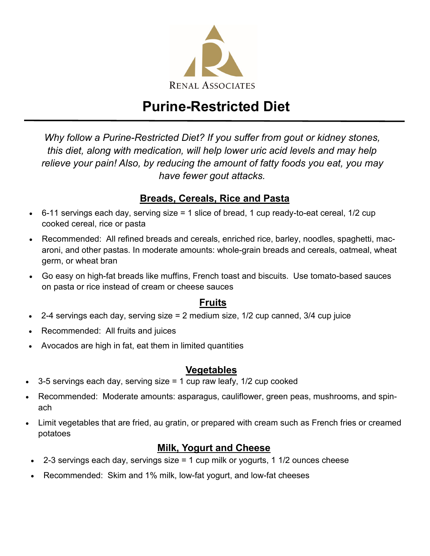

# **Purine-Restricted Diet**

*Why follow a Purine-Restricted Diet? If you suffer from gout or kidney stones, this diet, along with medication, will help lower uric acid levels and may help relieve your pain! Also, by reducing the amount of fatty foods you eat, you may have fewer gout attacks.* 

#### **Breads, Cereals, Rice and Pasta**

- 6-11 servings each day, serving size = 1 slice of bread, 1 cup ready-to-eat cereal, 1/2 cup cooked cereal, rice or pasta
- Recommended: All refined breads and cereals, enriched rice, barley, noodles, spaghetti, macaroni, and other pastas. In moderate amounts: whole-grain breads and cereals, oatmeal, wheat germ, or wheat bran
- Go easy on high-fat breads like muffins, French toast and biscuits. Use tomato-based sauces on pasta or rice instead of cream or cheese sauces

#### **Fruits**

- 2-4 servings each day, serving size = 2 medium size, 1/2 cup canned, 3/4 cup juice
- Recommended: All fruits and juices
- Avocados are high in fat, eat them in limited quantities

#### **Vegetables**

- 3-5 servings each day, serving size = 1 cup raw leafy, 1/2 cup cooked
- Recommended: Moderate amounts: asparagus, cauliflower, green peas, mushrooms, and spinach
- Limit vegetables that are fried, au gratin, or prepared with cream such as French fries or creamed potatoes

#### **Milk, Yogurt and Cheese**

- 2-3 servings each day, servings size  $= 1$  cup milk or yogurts, 1 1/2 ounces cheese
- Recommended: Skim and 1% milk, low-fat yogurt, and low-fat cheeses